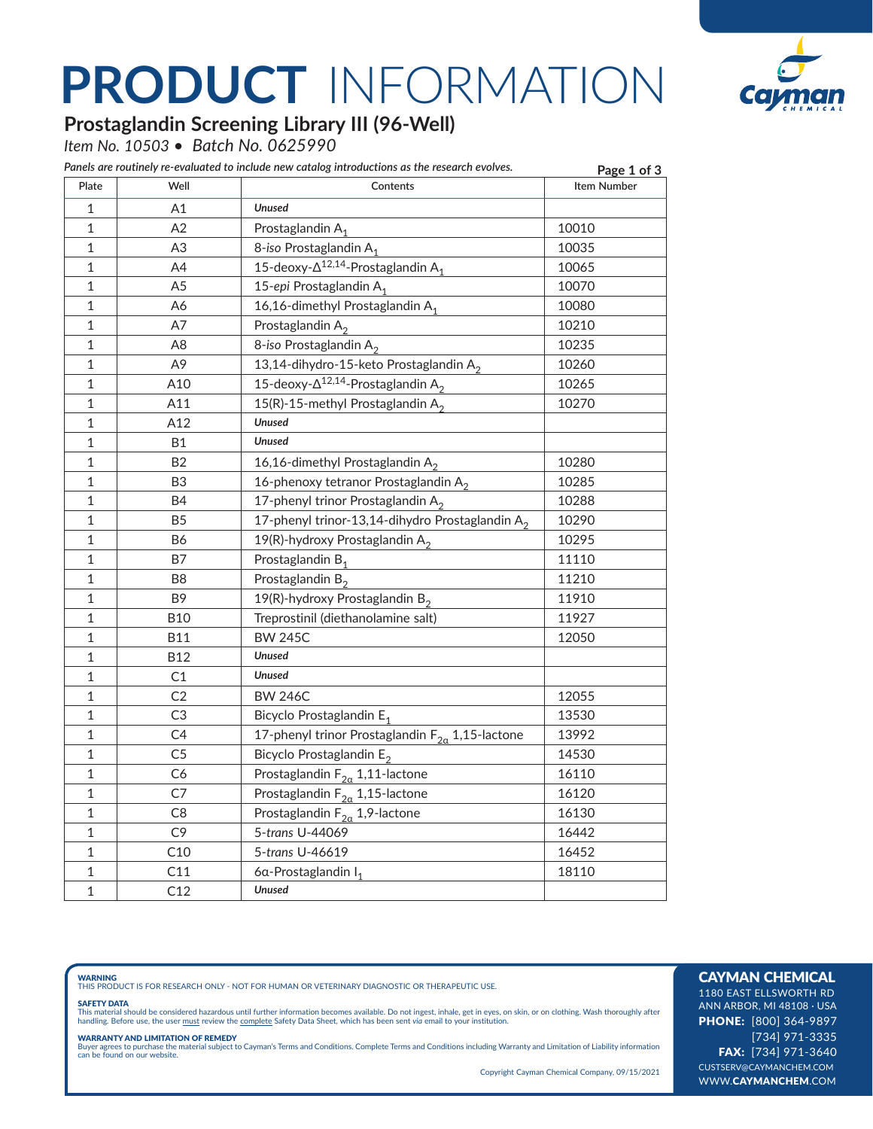## **PRODUCT** INFORMATION



### **Prostaglandin Screening Library III (96-Well)**

*Item No. 10503 • Batch No. 0625990*

| Panels are routinely re-evaluated to include new catalog introductions as the research evolves. | Page 1 of 3    |                                                             |                    |
|-------------------------------------------------------------------------------------------------|----------------|-------------------------------------------------------------|--------------------|
| Plate                                                                                           | Well           | Contents                                                    | <b>Item Number</b> |
| 1                                                                                               | A1             | <b>Unused</b>                                               |                    |
| $\mathbf{1}$                                                                                    | A2             | Prostaglandin A <sub>1</sub>                                | 10010              |
| $\mathbf{1}$                                                                                    | A3             | 8-iso Prostaglandin A <sub>1</sub>                          | 10035              |
| 1                                                                                               | A4             | $15$ -deoxy- $\Delta^{12,14}$ -Prostaglandin A <sub>1</sub> | 10065              |
| 1                                                                                               | A <sub>5</sub> | 15-epi Prostaglandin A <sub>1</sub>                         | 10070              |
| 1                                                                                               | A6             | 16,16-dimethyl Prostaglandin $A_1$                          | 10080              |
| 1                                                                                               | A7             | Prostaglandin A <sub>2</sub>                                | 10210              |
| 1                                                                                               | A8             | 8-iso Prostaglandin A <sub>2</sub>                          | 10235              |
| 1                                                                                               | A9             | 13,14-dihydro-15-keto Prostaglandin $A_2$                   | 10260              |
| 1                                                                                               | A10            | 15-deoxy- $\Delta^{12,14}$ -Prostaglandin A <sub>2</sub>    | 10265              |
| 1                                                                                               | A11            | 15(R)-15-methyl Prostaglandin $A_2$                         | 10270              |
| 1                                                                                               | A12            | <b>Unused</b>                                               |                    |
| 1                                                                                               | B1             | Unused                                                      |                    |
| $\mathbf 1$                                                                                     | B2             | 16,16-dimethyl Prostaglandin $A_2$                          | 10280              |
| 1                                                                                               | B3             | 16-phenoxy tetranor Prostaglandin $A_2$                     | 10285              |
| 1                                                                                               | B4             | 17-phenyl trinor Prostaglandin A <sub>2</sub>               | 10288              |
| 1                                                                                               | B <sub>5</sub> | 17-phenyl trinor-13,14-dihydro Prostaglandin A <sub>2</sub> | 10290              |
| 1                                                                                               | B6             | 19(R)-hydroxy Prostaglandin $A_2$                           | 10295              |
| 1                                                                                               | Β7             | Prostaglandin B <sub>1</sub>                                | 11110              |
| 1                                                                                               | B8             | Prostaglandin B <sub>2</sub>                                | 11210              |
| $\mathbf 1$                                                                                     | B9             | 19(R)-hydroxy Prostaglandin $B_2$                           | 11910              |
| 1                                                                                               | <b>B10</b>     | Treprostinil (diethanolamine salt)                          | 11927              |
| 1                                                                                               | B11            | <b>BW 245C</b>                                              | 12050              |
| 1                                                                                               | B12            | <b>Unused</b>                                               |                    |
| 1                                                                                               | C1             | Unused                                                      |                    |
| 1                                                                                               | C2             | <b>BW 246C</b>                                              | 12055              |
| 1                                                                                               | C3             | Bicyclo Prostaglandin E <sub>1</sub>                        | 13530              |
| 1                                                                                               | C4             | 17-phenyl trinor Prostaglandin $F_{2a}$ 1,15-lactone        | 13992              |
| $\mathbf{1}$                                                                                    | C <sub>5</sub> | Bicyclo Prostaglandin E <sub>2</sub>                        | 14530              |
| $\mathbf{1}$                                                                                    | C6             | Prostaglandin $F_{2\alpha}$ 1,11-lactone                    | 16110              |
| 1                                                                                               | C7             | Prostaglandin $F_{2\alpha}$ 1,15-lactone                    | 16120              |
| 1                                                                                               | C <sub>8</sub> | Prostaglandin $F_{2\alpha}$ 1,9-lactone                     | 16130              |
| 1                                                                                               | C9             | 5-trans U-44069                                             | 16442              |
| 1                                                                                               | C10            | 5-trans U-46619                                             | 16452              |
| $\mathbf 1$                                                                                     | C11            | 6α-Prostaglandin I <sub>1</sub>                             | 18110              |
| $\mathbf{1}$                                                                                    | C12            | Unused                                                      |                    |

**WARNING**<br>THIS PRODUCT IS FOR RESEARCH ONLY - NOT FOR HUMAN OR VETERINARY DIAGNOSTIC OR THERAPEUTIC USE.

#### SAFETY DATA

This material should be considered hazardous until further information becomes available. Do not ingest, inhale, get in eyes, on skin, or on clothing. Wash thoroughly after<br>handling. Before use, the user must review the co

**WARRANTY AND LIMITATION OF REMEDY**<br>Buyer agrees to purchase the material subject to Cayman's Terms and Conditions. Complete Terms and Conditions including Warranty and Limitation of Liability information<br>can be found on o

Copyright Cayman Chemical Company, 09/15/2021

### CAYMAN CHEMICAL

1180 EAST ELLSWORTH RD ANN ARBOR, MI 48108 · USA PHONE: [800] 364-9897 [734] 971-3335 FAX: [734] 971-3640 CUSTSERV@CAYMANCHEM.COM WWW.CAYMANCHEM.COM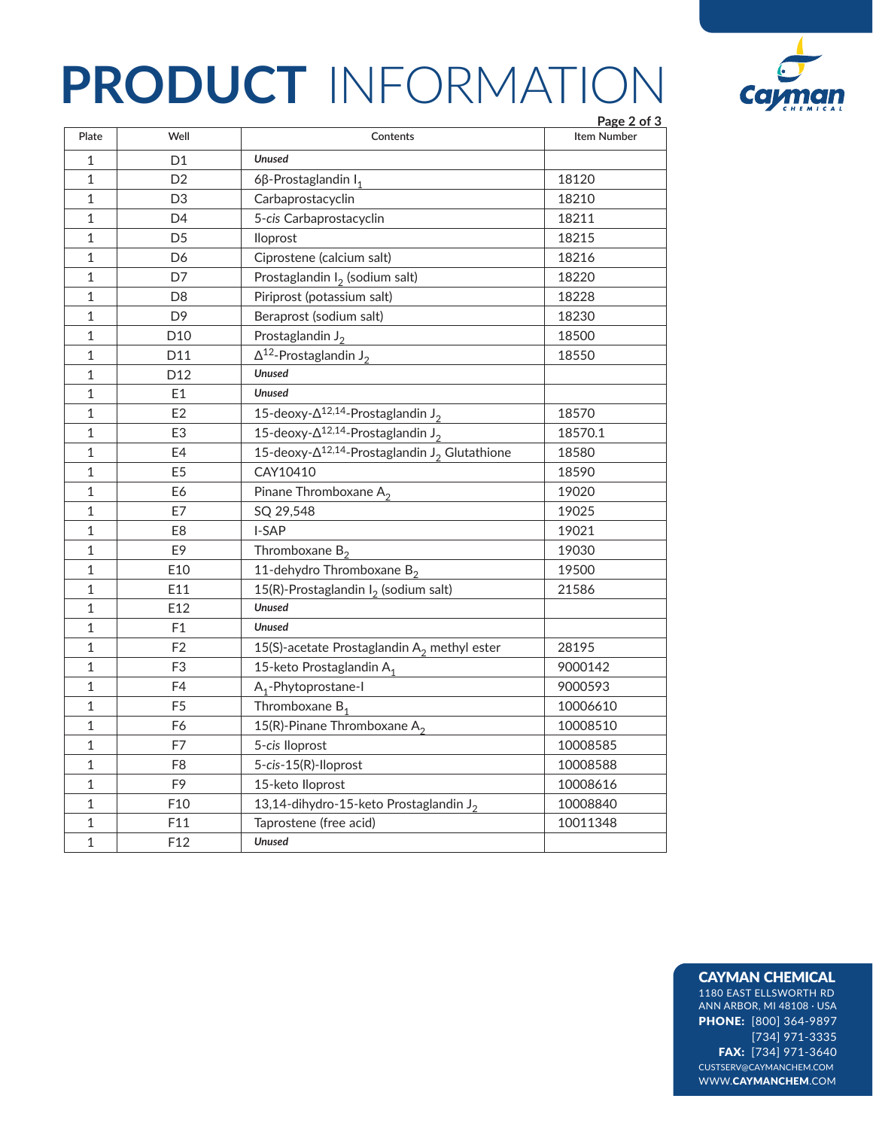## **PRODUCT** INFORMATION



|                |                 |                                                                      | Page 2 of 3 |
|----------------|-----------------|----------------------------------------------------------------------|-------------|
| Plate          | Well            | Contents                                                             | Item Number |
| 1              | D1              | <b>Unused</b>                                                        |             |
| 1              | D <sub>2</sub>  | 6β-Prostaglandin $I_1$                                               | 18120       |
| 1              | D3              | Carbaprostacyclin                                                    | 18210       |
| 1              | D4              | 5-cis Carbaprostacyclin                                              | 18211       |
| 1              | D <sub>5</sub>  | lloprost                                                             | 18215       |
| 1              | D6              | Ciprostene (calcium salt)                                            | 18216       |
| 1              | D7              | Prostaglandin $I_2$ (sodium salt)                                    | 18220       |
| 1              | D <sub>8</sub>  | Piriprost (potassium salt)                                           | 18228       |
| 1              | D9              | Beraprost (sodium salt)                                              | 18230       |
| 1              | D <sub>10</sub> | Prostaglandin J <sub>2</sub>                                         | 18500       |
| 1              | D <sub>11</sub> | $\Delta^{12}$ -Prostaglandin J <sub>2</sub>                          | 18550       |
| 1              | D <sub>12</sub> | <b>Unused</b>                                                        |             |
| 1              | E1              | <b>Unused</b>                                                        |             |
| 1              | E <sub>2</sub>  | 15-deoxy- $\Delta^{12,14}$ -Prostaglandin J <sub>2</sub>             | 18570       |
| 1              | E <sub>3</sub>  | 15-deoxy- $\Delta^{12,14}$ -Prostaglandin J <sub>2</sub>             | 18570.1     |
| 1              | E4              | 15-deoxy- $\Delta^{12,14}$ -Prostaglandin J <sub>2</sub> Glutathione | 18580       |
| 1              | E <sub>5</sub>  | CAY10410                                                             | 18590       |
| 1              | E6              | Pinane Thromboxane A <sub>2</sub>                                    | 19020       |
| 1              | E7              | SQ 29,548                                                            | 19025       |
| 1              | E8              | I-SAP                                                                | 19021       |
| 1              | E9              | Thromboxane $B_2$                                                    | 19030       |
| $\mathbf 1$    | E10             | 11-dehydro Thromboxane B <sub>2</sub>                                | 19500       |
| 1              | E11             | 15(R)-Prostaglandin $I_2$ (sodium salt)                              | 21586       |
| 1              | E12             | <b>Unused</b>                                                        |             |
| 1              | F1              | <b>Unused</b>                                                        |             |
| 1              | F <sub>2</sub>  | 15(S)-acetate Prostaglandin $A_2$ methyl ester                       | 28195       |
| 1              | F3              | 15-keto Prostaglandin A <sub>1</sub>                                 | 9000142     |
| 1              | F4              | A <sub>1</sub> -Phytoprostane-I                                      | 9000593     |
| 1              | F <sub>5</sub>  | Thromboxane $B_1$                                                    | 10006610    |
| 1              | F6              | 15(R)-Pinane Thromboxane A <sub>2</sub>                              | 10008510    |
| 1              | F7              | 5-cis lloprost                                                       | 10008585    |
| 1              | F <sub>8</sub>  | 5-cis-15(R)-lloprost                                                 | 10008588    |
| 1              | F9              | 15-keto lloprost                                                     | 10008616    |
| 1              | F10             | 13,14-dihydro-15-keto Prostaglandin J <sub>2</sub>                   | 10008840    |
| 1              | F11             | Taprostene (free acid)                                               | 10011348    |
| $\overline{1}$ | F <sub>12</sub> | <b>Unused</b>                                                        |             |

### CAYMAN CHEMICAL

1180 EAST ELLSWORTH RD ANN ARBOR, MI 48108 · USA PHONE: [800] 364-9897 [734] 971-3335 FAX: [734] 971-3640 CUSTSERV@CAYMANCHEM.COM WWW.CAYMANCHEM.COM